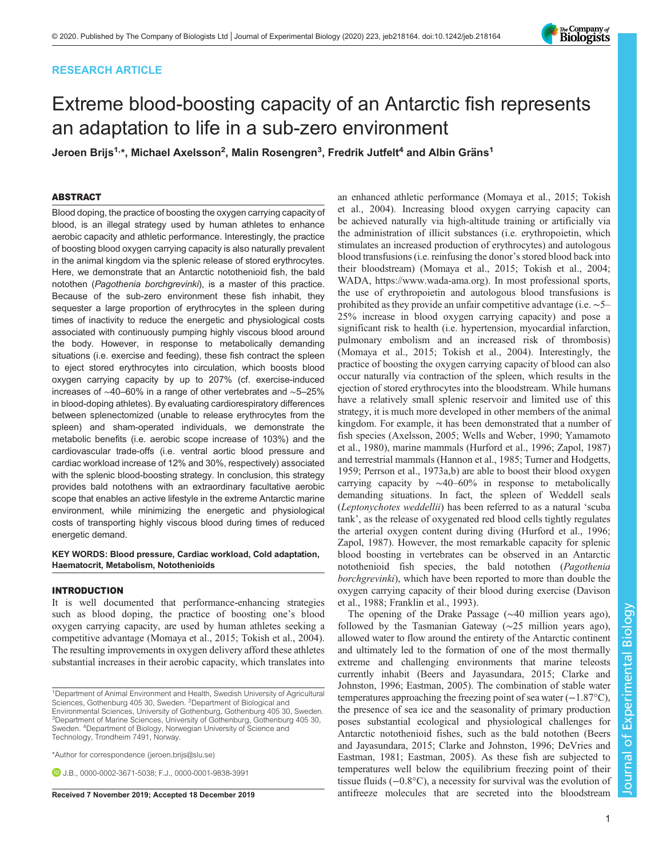# RESEARCH ARTICLE

# Extreme blood-boosting capacity of an Antarctic fish represents an adaptation to life in a sub-zero environment

Jeroen Brijs<sup>1,</sup>\*, Michael Axelsson<sup>2</sup>, Malin Rosengren<sup>3</sup>, Fredrik Jutfelt<sup>4</sup> and Albin Gräns<sup>1</sup>

# ABSTRACT

Blood doping, the practice of boosting the oxygen carrying capacity of blood, is an illegal strategy used by human athletes to enhance aerobic capacity and athletic performance. Interestingly, the practice of boosting blood oxygen carrying capacity is also naturally prevalent in the animal kingdom via the splenic release of stored erythrocytes. Here, we demonstrate that an Antarctic notothenioid fish, the bald notothen (Pagothenia borchgrevinki), is a master of this practice. Because of the sub-zero environment these fish inhabit, they sequester a large proportion of erythrocytes in the spleen during times of inactivity to reduce the energetic and physiological costs associated with continuously pumping highly viscous blood around the body. However, in response to metabolically demanding situations (i.e. exercise and feeding), these fish contract the spleen to eject stored erythrocytes into circulation, which boosts blood oxygen carrying capacity by up to 207% (cf. exercise-induced increases of ∼40–60% in a range of other vertebrates and ∼5–25% in blood-doping athletes). By evaluating cardiorespiratory differences between splenectomized (unable to release erythrocytes from the spleen) and sham-operated individuals, we demonstrate the metabolic benefits (i.e. aerobic scope increase of 103%) and the cardiovascular trade-offs (i.e. ventral aortic blood pressure and cardiac workload increase of 12% and 30%, respectively) associated with the splenic blood-boosting strategy. In conclusion, this strategy provides bald notothens with an extraordinary facultative aerobic scope that enables an active lifestyle in the extreme Antarctic marine environment, while minimizing the energetic and physiological costs of transporting highly viscous blood during times of reduced energetic demand.

## KEY WORDS: Blood pressure, Cardiac workload, Cold adaptation, Haematocrit, Metabolism, Notothenioids

# INTRODUCTION

It is well documented that performance-enhancing strategies such as blood doping, the practice of boosting one's blood oxygen carrying capacity, are used by human athletes seeking a competitive advantage [\(Momaya et al., 2015;](#page-9-0) [Tokish et al., 2004\)](#page-10-0). The resulting improvements in oxygen delivery afford these athletes substantial increases in their aerobic capacity, which translates into

\*Author for correspondence [\(jeroen.brijs@slu.se](mailto:jeroen.brijs@slu.se))

**D.I.B.**, [0000-0002-3671-5038;](http://orcid.org/0000-0002-3671-5038) F.J., [0000-0001-9838-3991](http://orcid.org/0000-0001-9838-3991)

an enhanced athletic performance ([Momaya et al., 2015;](#page-9-0) [Tokish](#page-10-0) [et al., 2004\)](#page-10-0). Increasing blood oxygen carrying capacity can be achieved naturally via high-altitude training or artificially via the administration of illicit substances (i.e. erythropoietin, which stimulates an increased production of erythrocytes) and autologous blood transfusions (i.e. reinfusing the donor's stored blood back into their bloodstream) [\(Momaya et al., 2015](#page-9-0); [Tokish et al., 2004](#page-10-0); WADA, [https://www.wada-ama.org\)](https://www.wada-ama.org). In most professional sports, the use of erythropoietin and autologous blood transfusions is prohibited as they provide an unfair competitive advantage (i.e. ∼5– 25% increase in blood oxygen carrying capacity) and pose a significant risk to health (i.e. hypertension, myocardial infarction, pulmonary embolism and an increased risk of thrombosis) [\(Momaya et al., 2015;](#page-9-0) [Tokish et al., 2004\)](#page-10-0). Interestingly, the practice of boosting the oxygen carrying capacity of blood can also occur naturally via contraction of the spleen, which results in the ejection of stored erythrocytes into the bloodstream. While humans have a relatively small splenic reservoir and limited use of this strategy, it is much more developed in other members of the animal kingdom. For example, it has been demonstrated that a number of fish species [\(Axelsson, 2005;](#page-9-0) [Wells and Weber, 1990; Yamamoto](#page-10-0) [et al., 1980\)](#page-10-0), marine mammals ([Hurford et al., 1996;](#page-9-0) [Zapol, 1987\)](#page-10-0) and terrestrial mammals ([Hannon et al., 1985](#page-9-0); [Turner and Hodgetts,](#page-10-0) [1959;](#page-10-0) [Perrson et al., 1973a](#page-9-0),[b](#page-9-0)) are able to boost their blood oxygen carrying capacity by ∼40–60% in response to metabolically demanding situations. In fact, the spleen of Weddell seals (Leptonychotes weddellii) has been referred to as a natural 'scuba tank', as the release of oxygenated red blood cells tightly regulates the arterial oxygen content during diving ([Hurford et al., 1996](#page-9-0); [Zapol, 1987\)](#page-10-0). However, the most remarkable capacity for splenic blood boosting in vertebrates can be observed in an Antarctic notothenioid fish species, the bald notothen (Pagothenia borchgrevinki), which have been reported to more than double the oxygen carrying capacity of their blood during exercise ([Davison](#page-9-0) [et al., 1988; Franklin et al., 1993\)](#page-9-0).

The opening of the Drake Passage (∼40 million years ago), followed by the Tasmanian Gateway (∼25 million years ago), allowed water to flow around the entirety of the Antarctic continent and ultimately led to the formation of one of the most thermally extreme and challenging environments that marine teleosts currently inhabit [\(Beers and Jayasundara, 2015; Clarke and](#page-9-0) [Johnston, 1996; Eastman, 2005](#page-9-0)). The combination of stable water temperatures approaching the freezing point of sea water (−1.87°C), the presence of sea ice and the seasonality of primary production poses substantial ecological and physiological challenges for Antarctic notothenioid fishes, such as the bald notothen ([Beers](#page-9-0) [and Jayasundara, 2015; Clarke and Johnston, 1996](#page-9-0); [DeVries and](#page-9-0) [Eastman, 1981; Eastman, 2005\)](#page-9-0). As these fish are subjected to temperatures well below the equilibrium freezing point of their tissue fluids (−0.8°C), a necessity for survival was the evolution of Received 7 November 2019; Accepted 18 December 2019 antifreeze molecules that are secreted into the bloodstream



<sup>1</sup>Department of Animal Environment and Health, Swedish University of Agricultural Sciences, Gothenburg 405 30, Sweden. <sup>2</sup>Department of Biological and

Environmental Sciences, University of Gothenburg, Gothenburg 405 30, Sweden. <sup>3</sup>Department of Marine Sciences, University of Gothenburg, Gothenburg 405 30, Sweden. <sup>4</sup> Department of Biology, Norwegian University of Science and Technology, Trondheim 7491, Norway.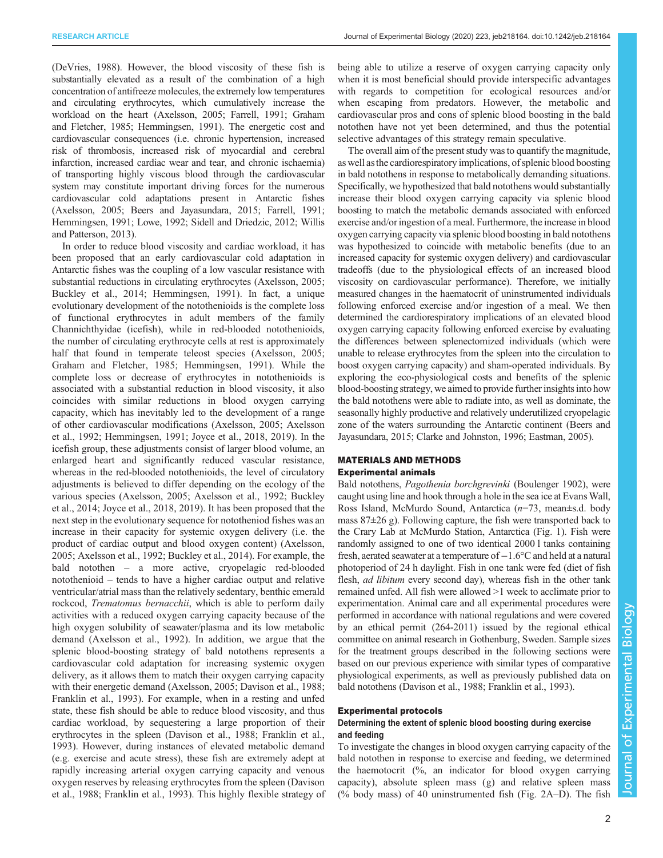[\(DeVries, 1988\)](#page-9-0). However, the blood viscosity of these fish is substantially elevated as a result of the combination of a high concentration of antifreeze molecules, the extremely low temperatures and circulating erythrocytes, which cumulatively increase the workload on the heart [\(Axelsson, 2005; Farrell, 1991; Graham](#page-9-0) [and Fletcher, 1985; Hemmingsen, 1991\)](#page-9-0). The energetic cost and cardiovascular consequences (i.e. chronic hypertension, increased risk of thrombosis, increased risk of myocardial and cerebral infarction, increased cardiac wear and tear, and chronic ischaemia) of transporting highly viscous blood through the cardiovascular system may constitute important driving forces for the numerous cardiovascular cold adaptations present in Antarctic fishes [\(Axelsson, 2005](#page-9-0); [Beers and Jayasundara, 2015](#page-9-0); [Farrell, 1991](#page-9-0); [Hemmingsen, 1991](#page-9-0); [Lowe, 1992](#page-9-0); [Sidell and Driedzic, 2012](#page-10-0); [Willis](#page-10-0) [and Patterson, 2013\)](#page-10-0).

In order to reduce blood viscosity and cardiac workload, it has been proposed that an early cardiovascular cold adaptation in Antarctic fishes was the coupling of a low vascular resistance with substantial reductions in circulating erythrocytes ([Axelsson, 2005](#page-9-0); [Buckley et al., 2014](#page-9-0); [Hemmingsen, 1991](#page-9-0)). In fact, a unique evolutionary development of the notothenioids is the complete loss of functional erythrocytes in adult members of the family Channichthyidae (icefish), while in red-blooded notothenioids, the number of circulating erythrocyte cells at rest is approximately half that found in temperate teleost species [\(Axelsson, 2005](#page-9-0); [Graham and Fletcher, 1985; Hemmingsen, 1991](#page-9-0)). While the complete loss or decrease of erythrocytes in notothenioids is associated with a substantial reduction in blood viscosity, it also coincides with similar reductions in blood oxygen carrying capacity, which has inevitably led to the development of a range of other cardiovascular modifications [\(Axelsson, 2005; Axelsson](#page-9-0) [et al., 1992](#page-9-0); [Hemmingsen, 1991; Joyce et al., 2018, 2019](#page-9-0)). In the icefish group, these adjustments consist of larger blood volume, an enlarged heart and significantly reduced vascular resistance, whereas in the red-blooded notothenioids, the level of circulatory adjustments is believed to differ depending on the ecology of the various species [\(Axelsson, 2005](#page-9-0); [Axelsson et al., 1992; Buckley](#page-9-0) [et al., 2014; Joyce et al., 2018, 2019](#page-9-0)). It has been proposed that the next step in the evolutionary sequence for nototheniod fishes was an increase in their capacity for systemic oxygen delivery (i.e. the product of cardiac output and blood oxygen content) [\(Axelsson,](#page-9-0) [2005](#page-9-0); [Axelsson et al., 1992; Buckley et al., 2014\)](#page-9-0). For example, the bald notothen – a more active, cryopelagic red-blooded notothenioid – tends to have a higher cardiac output and relative ventricular/atrial mass than the relatively sedentary, benthic emerald rockcod, Trematomus bernacchii, which is able to perform daily activities with a reduced oxygen carrying capacity because of the high oxygen solubility of seawater/plasma and its low metabolic demand [\(Axelsson et al., 1992\)](#page-9-0). In addition, we argue that the splenic blood-boosting strategy of bald notothens represents a cardiovascular cold adaptation for increasing systemic oxygen delivery, as it allows them to match their oxygen carrying capacity with their energetic demand [\(Axelsson, 2005](#page-9-0); [Davison et al., 1988](#page-9-0); [Franklin et al., 1993](#page-9-0)). For example, when in a resting and unfed state, these fish should be able to reduce blood viscosity, and thus cardiac workload, by sequestering a large proportion of their erythrocytes in the spleen ([Davison et al., 1988; Franklin et al.,](#page-9-0) [1993](#page-9-0)). However, during instances of elevated metabolic demand (e.g. exercise and acute stress), these fish are extremely adept at rapidly increasing arterial oxygen carrying capacity and venous oxygen reserves by releasing erythrocytes from the spleen ([Davison](#page-9-0) [et al., 1988](#page-9-0); [Franklin et al., 1993](#page-9-0)). This highly flexible strategy of being able to utilize a reserve of oxygen carrying capacity only when it is most beneficial should provide interspecific advantages with regards to competition for ecological resources and/or when escaping from predators. However, the metabolic and cardiovascular pros and cons of splenic blood boosting in the bald notothen have not yet been determined, and thus the potential selective advantages of this strategy remain speculative.

The overall aim of the present study was to quantify the magnitude, as well asthe cardiorespiratory implications, of splenic blood boosting in bald notothens in response to metabolically demanding situations. Specifically, we hypothesized that bald notothens would substantially increase their blood oxygen carrying capacity via splenic blood boosting to match the metabolic demands associated with enforced exercise and/or ingestion of a meal. Furthermore, the increase in blood oxygen carrying capacity via splenic blood boosting in bald notothens was hypothesized to coincide with metabolic benefits (due to an increased capacity for systemic oxygen delivery) and cardiovascular tradeoffs (due to the physiological effects of an increased blood viscosity on cardiovascular performance). Therefore, we initially measured changes in the haematocrit of uninstrumented individuals following enforced exercise and/or ingestion of a meal. We then determined the cardiorespiratory implications of an elevated blood oxygen carrying capacity following enforced exercise by evaluating the differences between splenectomized individuals (which were unable to release erythrocytes from the spleen into the circulation to boost oxygen carrying capacity) and sham-operated individuals. By exploring the eco-physiological costs and benefits of the splenic blood-boosting strategy, we aimed to provide further insights into how the bald notothens were able to radiate into, as well as dominate, the seasonally highly productive and relatively underutilized cryopelagic zone of the waters surrounding the Antarctic continent [\(Beers and](#page-9-0) [Jayasundara, 2015; Clarke and Johnston, 1996; Eastman, 2005\)](#page-9-0).

# MATERIALS AND METHODS

# Experimental animals

Bald notothens, Pagothenia borchgrevinki (Boulenger 1902), were caught using line and hook through a hole in the sea ice at Evans Wall, Ross Island, McMurdo Sound, Antarctica  $(n=73, \text{ mean} \pm \text{s.d.}$  body mass 87±26 g). Following capture, the fish were transported back to the Crary Lab at McMurdo Station, Antarctica ([Fig. 1](#page-2-0)). Fish were randomly assigned to one of two identical 2000 l tanks containing fresh, aerated seawater at a temperature of−1.6°C and held at a natural photoperiod of 24 h daylight. Fish in one tank were fed (diet of fish flesh, *ad libitum* every second day), whereas fish in the other tank remained unfed. All fish were allowed >1 week to acclimate prior to experimentation. Animal care and all experimental procedures were performed in accordance with national regulations and were covered by an ethical permit (264-2011) issued by the regional ethical committee on animal research in Gothenburg, Sweden. Sample sizes for the treatment groups described in the following sections were based on our previous experience with similar types of comparative physiological experiments, as well as previously published data on bald notothens ([Davison et al., 1988](#page-9-0); [Franklin et al., 1993\)](#page-9-0).

## Experimental protocols

# Determining the extent of splenic blood boosting during exercise and feeding

To investigate the changes in blood oxygen carrying capacity of the bald notothen in response to exercise and feeding, we determined the haemotocrit (%, an indicator for blood oxygen carrying capacity), absolute spleen mass (g) and relative spleen mass (% body mass) of 40 uninstrumented fish (Fig.  $2A-D$ ). The fish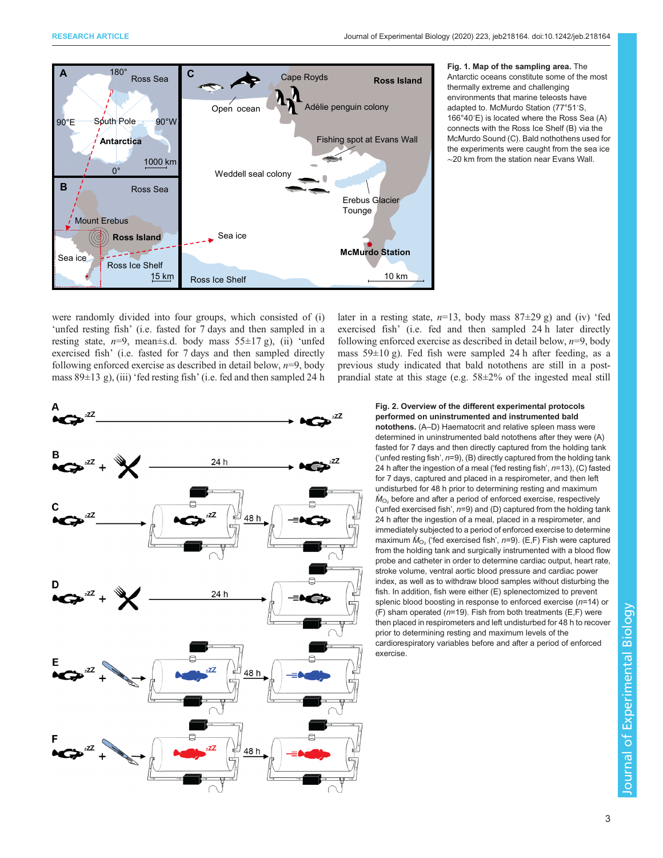<span id="page-2-0"></span>

Fig. 1. Map of the sampling area. The Antarctic oceans constitute some of the most thermally extreme and challenging environments that marine teleosts have adapted to. McMurdo Station (77°51′S, 166°40′E) is located where the Ross Sea (A) connects with the Ross Ice Shelf (B) via the McMurdo Sound (C). Bald nothothens used for the experiments were caught from the sea ice ∼20 km from the station near Evans Wall.

were randomly divided into four groups, which consisted of (i) 'unfed resting fish' (i.e. fasted for 7 days and then sampled in a resting state,  $n=9$ , mean±s.d. body mass  $55\pm17$  g), (ii) 'unfed exercised fish' (i.e. fasted for 7 days and then sampled directly following enforced exercise as described in detail below,  $n=9$ , body mass  $89\pm13$  g), (iii) 'fed resting fish' (i.e. fed and then sampled 24 h

later in a resting state,  $n=13$ , body mass  $87\pm29$  g) and (iv) 'fed exercised fish' (i.e. fed and then sampled 24 h later directly following enforced exercise as described in detail below,  $n=9$ , body mass 59±10 g). Fed fish were sampled 24 h after feeding, as a previous study indicated that bald notothens are still in a postprandial state at this stage (e.g. 58±2% of the ingested meal still



## Fig. 2. Overview of the different experimental protocols performed on uninstrumented and instrumented bald

notothens. (A–D) Haematocrit and relative spleen mass were determined in uninstrumented bald notothens after they were (A) fasted for 7 days and then directly captured from the holding tank ('unfed resting fish',  $n=9$ ), (B) directly captured from the holding tank 24 h after the ingestion of a meal ('fed resting fish',  $n=13$ ), (C) fasted for 7 days, captured and placed in a respirometer, and then left undisturbed for 48 h prior to determining resting and maximum  $\dot{M}_{\odot}$ , before and after a period of enforced exercise, respectively ('unfed exercised fish',  $n=9$ ) and (D) captured from the holding tank 24 h after the ingestion of a meal, placed in a respirometer, and immediately subjected to a period of enforced exercise to determine maximum  $\dot{M}_{\text{O}_2}$  ('fed exercised fish', n=9). (E,F) Fish were captured from the holding tank and surgically instrumented with a blood flow probe and catheter in order to determine cardiac output, heart rate, stroke volume, ventral aortic blood pressure and cardiac power index, as well as to withdraw blood samples without disturbing the fish. In addition, fish were either (E) splenectomized to prevent splenic blood boosting in response to enforced exercise  $(n=14)$  or (F) sham operated ( $n=19$ ). Fish from both treatments (E,F) were then placed in respirometers and left undisturbed for 48 h to recover prior to determining resting and maximum levels of the cardiorespiratory variables before and after a period of enforced exercise.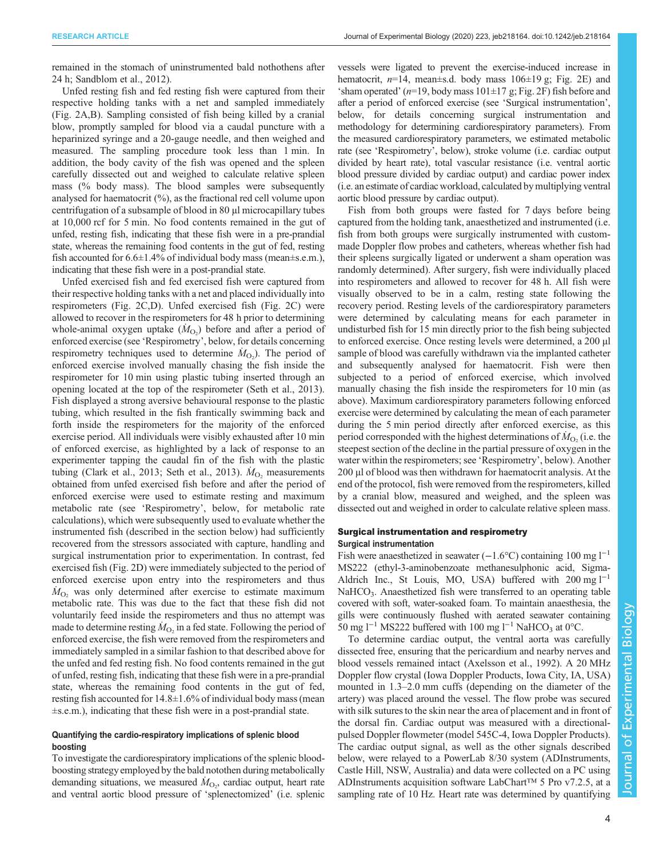remained in the stomach of uninstrumented bald nothothens after 24 h; [Sandblom et al., 2012](#page-10-0)).

Unfed resting fish and fed resting fish were captured from their respective holding tanks with a net and sampled immediately [\(Fig. 2](#page-2-0)A,B). Sampling consisted of fish being killed by a cranial blow, promptly sampled for blood via a caudal puncture with a heparinized syringe and a 20-gauge needle, and then weighed and measured. The sampling procedure took less than 1 min. In addition, the body cavity of the fish was opened and the spleen carefully dissected out and weighed to calculate relative spleen mass (% body mass). The blood samples were subsequently analysed for haematocrit (%), as the fractional red cell volume upon centrifugation of a subsample of blood in 80 µl microcapillary tubes at 10,000 rcf for 5 min. No food contents remained in the gut of unfed, resting fish, indicating that these fish were in a pre-prandial state, whereas the remaining food contents in the gut of fed, resting fish accounted for  $6.6\pm1.4\%$  of individual body mass (mean $\pm$ s.e.m.), indicating that these fish were in a post-prandial state.

Unfed exercised fish and fed exercised fish were captured from their respective holding tanks with a net and placed individually into respirometers [\(Fig. 2](#page-2-0)C,D). Unfed exercised fish [\(Fig. 2](#page-2-0)C) were allowed to recover in the respirometers for 48 h prior to determining whole-animal oxygen uptake  $(M<sub>O<sub>2</sub></sub>)$  before and after a period of enforced exercise (see 'Respirometry', below, for details concerning respirometry techniques used to determine  $\dot{M}_{\text{O}_2}$ ). The period of enforced exercise involved manually chasing the fish inside the respirometer for 10 min using plastic tubing inserted through an opening located at the top of the respirometer ([Seth et al., 2013\)](#page-10-0). Fish displayed a strong aversive behavioural response to the plastic tubing, which resulted in the fish frantically swimming back and forth inside the respirometers for the majority of the enforced exercise period. All individuals were visibly exhausted after 10 min of enforced exercise, as highlighted by a lack of response to an experimenter tapping the caudal fin of the fish with the plastic tubing ([Clark et al., 2013;](#page-9-0) [Seth et al., 2013](#page-10-0)).  $\dot{M}_{\text{O}_2}$  measurements obtained from unfed exercised fish before and after the period of enforced exercise were used to estimate resting and maximum metabolic rate (see 'Respirometry', below, for metabolic rate calculations), which were subsequently used to evaluate whether the instrumented fish (described in the section below) had sufficiently recovered from the stressors associated with capture, handling and surgical instrumentation prior to experimentation. In contrast, fed exercised fish [\(Fig. 2D](#page-2-0)) were immediately subjected to the period of enforced exercise upon entry into the respirometers and thus  $\dot{M}_{\text{O}_2}$  was only determined after exercise to estimate maximum metabolic rate. This was due to the fact that these fish did not voluntarily feed inside the respirometers and thus no attempt was made to determine resting  $\dot{M}_{\text{O}_2}$  in a fed state. Following the period of enforced exercise, the fish were removed from the respirometers and immediately sampled in a similar fashion to that described above for the unfed and fed resting fish. No food contents remained in the gut of unfed, resting fish, indicating that these fish were in a pre-prandial state, whereas the remaining food contents in the gut of fed, resting fish accounted for 14.8±1.6% of individual body mass (mean ±s.e.m.), indicating that these fish were in a post-prandial state.

## Quantifying the cardio-respiratory implications of splenic blood boosting

To investigate the cardiorespiratory implications of the splenic bloodboosting strategy employed by the bald notothen during metabolically demanding situations, we measured  $\dot{M}_{\text{O}_2}$ , cardiac output, heart rate and ventral aortic blood pressure of 'splenectomized' (i.e. splenic vessels were ligated to prevent the exercise-induced increase in hematocrit,  $n=14$ , mean $\pm$ s.d. body mass 106 $\pm$ 19 g; [Fig. 2E](#page-2-0)) and 'sham operated'  $(n=19, body mass 101 \pm 17 g$ ; [Fig. 2](#page-2-0)F) fish before and after a period of enforced exercise (see 'Surgical instrumentation', below, for details concerning surgical instrumentation and methodology for determining cardiorespiratory parameters). From the measured cardiorespiratory parameters, we estimated metabolic rate (see 'Respirometry', below), stroke volume (i.e. cardiac output divided by heart rate), total vascular resistance (i.e. ventral aortic blood pressure divided by cardiac output) and cardiac power index (i.e. an estimate of cardiac workload, calculated by multiplying ventral aortic blood pressure by cardiac output).

Fish from both groups were fasted for 7 days before being captured from the holding tank, anaesthetized and instrumented (i.e. fish from both groups were surgically instrumented with custommade Doppler flow probes and catheters, whereas whether fish had their spleens surgically ligated or underwent a sham operation was randomly determined). After surgery, fish were individually placed into respirometers and allowed to recover for 48 h. All fish were visually observed to be in a calm, resting state following the recovery period. Resting levels of the cardiorespiratory parameters were determined by calculating means for each parameter in undisturbed fish for 15 min directly prior to the fish being subjected to enforced exercise. Once resting levels were determined, a 200 µl sample of blood was carefully withdrawn via the implanted catheter and subsequently analysed for haematocrit. Fish were then subjected to a period of enforced exercise, which involved manually chasing the fish inside the respirometers for 10 min (as above). Maximum cardiorespiratory parameters following enforced exercise were determined by calculating the mean of each parameter during the 5 min period directly after enforced exercise, as this period corresponded with the highest determinations of  $\dot{M}_{\rm O_2}$  (i.e. the steepest section of the decline in the partial pressure of oxygen in the water within the respirometers; see 'Respirometry', below). Another 200 µl of blood was then withdrawn for haematocrit analysis. At the end of the protocol, fish were removed from the respirometers, killed by a cranial blow, measured and weighed, and the spleen was dissected out and weighed in order to calculate relative spleen mass.

## Surgical instrumentation and respirometry Surgical instrumentation

Fish were anaesthetized in seawater (−1.6°C) containing 100 mg  $l^{-1}$ MS222 (ethyl-3-aminobenzoate methanesulphonic acid, Sigma-Aldrich Inc., St Louis, MO, USA) buffered with 200 mg  $l^{-1}$  $NaHCO<sub>3</sub>$ . Anaesthetized fish were transferred to an operating table covered with soft, water-soaked foam. To maintain anaesthesia, the gills were continuously flushed with aerated seawater containing 50 mg l<sup>−1</sup> MS222 buffered with 100 mg l<sup>−1</sup> NaHCO<sub>3</sub> at 0°C.

To determine cardiac output, the ventral aorta was carefully dissected free, ensuring that the pericardium and nearby nerves and blood vessels remained intact ([Axelsson et al., 1992\)](#page-9-0). A 20 MHz Doppler flow crystal (Iowa Doppler Products, Iowa City, IA, USA) mounted in 1.3–2.0 mm cuffs (depending on the diameter of the artery) was placed around the vessel. The flow probe was secured with silk sutures to the skin near the area of placement and in front of the dorsal fin. Cardiac output was measured with a directionalpulsed Doppler flowmeter (model 545C-4, Iowa Doppler Products). The cardiac output signal, as well as the other signals described below, were relayed to a PowerLab 8/30 system (ADInstruments, Castle Hill, NSW, Australia) and data were collected on a PC using ADInstruments acquisition software LabChart™ 5 Pro v7.2.5, at a sampling rate of 10 Hz. Heart rate was determined by quantifying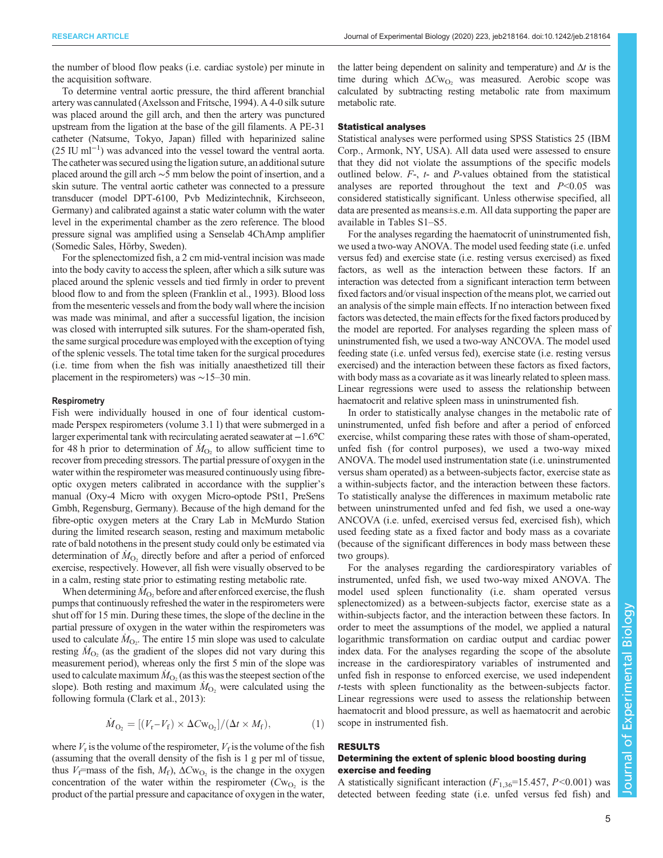the number of blood flow peaks (i.e. cardiac systole) per minute in the acquisition software.

To determine ventral aortic pressure, the third afferent branchial artery was cannulated ([Axelsson and Fritsche, 1994\)](#page-9-0). A 4-0 silk suture was placed around the gill arch, and then the artery was punctured upstream from the ligation at the base of the gill filaments. A PE-31 catheter (Natsume, Tokyo, Japan) filled with heparinized saline (25 IU ml−<sup>1</sup> ) was advanced into the vessel toward the ventral aorta. The catheter was secured using the ligation suture, an additional suture placed around the gill arch ∼5 mm below the point of insertion, and a skin suture. The ventral aortic catheter was connected to a pressure transducer (model DPT-6100, Pvb Medizintechnik, Kirchseeon, Germany) and calibrated against a static water column with the water level in the experimental chamber as the zero reference. The blood pressure signal was amplified using a Senselab 4ChAmp amplifier (Somedic Sales, Hörby, Sweden).

For the splenectomized fish, a 2 cm mid-ventral incision was made into the body cavity to access the spleen, after which a silk suture was placed around the splenic vessels and tied firmly in order to prevent blood flow to and from the spleen [\(Franklin et al., 1993\)](#page-9-0). Blood loss from the mesenteric vessels and from the body wall where the incision was made was minimal, and after a successful ligation, the incision was closed with interrupted silk sutures. For the sham-operated fish, the same surgical procedure was employed with the exception of tying of the splenic vessels. The total time taken for the surgical procedures (i.e. time from when the fish was initially anaesthetized till their placement in the respirometers) was ∼15–30 min.

#### **Respirometry**

Fish were individually housed in one of four identical custommade Perspex respirometers (volume 3.1 l) that were submerged in a larger experimental tank with recirculating aerated seawater at −1.6°C for 48 h prior to determination of  $\dot{M}_{\text{O}_2}$  to allow sufficient time to recover from preceding stressors. The partial pressure of oxygen in the water within the respirometer was measured continuously using fibreoptic oxygen meters calibrated in accordance with the supplier's manual (Oxy-4 Micro with oxygen Micro-optode PSt1, PreSens Gmbh, Regensburg, Germany). Because of the high demand for the fibre-optic oxygen meters at the Crary Lab in McMurdo Station during the limited research season, resting and maximum metabolic rate of bald notothens in the present study could only be estimated via determination of  $\dot{M}_{\text{O}_2}$  directly before and after a period of enforced exercise, respectively. However, all fish were visually observed to be in a calm, resting state prior to estimating resting metabolic rate.

When determining  $\dot{M}_{\text{O}_2}$  before and after enforced exercise, the flush pumps that continuously refreshed the water in the respirometers were shut off for 15 min. During these times, the slope of the decline in the partial pressure of oxygen in the water within the respirometers was used to calculate  $\dot{M}_{\text{O}_2}$ . The entire 15 min slope was used to calculate resting  $\dot{M}_{\text{O}_2}$  (as the gradient of the slopes did not vary during this measurement period), whereas only the first 5 min of the slope was used to calculate maximum  $\dot{M}_{\text{O}_2}$  (as this was the steepest section of the slope). Both resting and maximum  $\dot{M}_{O_2}$  were calculated using the following formula ([Clark et al., 2013\)](#page-9-0):

$$
\dot{M}_{\text{O}_2} = \left[ (V_{\text{r}} - V_{\text{f}}) \times \Delta C w_{\text{O}_2} \right] / (\Delta t \times M_{\text{f}}),\tag{1}
$$

where  $V_r$  is the volume of the respirometer,  $V_f$  is the volume of the fish (assuming that the overall density of the fish is 1 g per ml of tissue, thus  $V_f$ =mass of the fish,  $M_f$ ),  $\Delta C_{W_O}$  is the change in the oxygen concentration of the water within the respirometer  $(Cw<sub>O</sub>)$  is the product of the partial pressure and capacitance of oxygen in the water,

the latter being dependent on salinity and temperature) and  $\Delta t$  is the time during which  $\Delta Cw_{\text{O}_2}$  was measured. Aerobic scope was calculated by subtracting resting metabolic rate from maximum metabolic rate.

## Statistical analyses

Statistical analyses were performed using SPSS Statistics 25 (IBM Corp., Armonk, NY, USA). All data used were assessed to ensure that they did not violate the assumptions of the specific models outlined below. F-, t- and P-values obtained from the statistical analyses are reported throughout the text and  $P<0.05$  was considered statistically significant. Unless otherwise specified, all data are presented as means±s.e.m. All data supporting the paper are available in [Tables](http://jeb.biologists.org/lookup/doi/10.1242/jeb.218164.supplemental) S1–[S5.](http://jeb.biologists.org/lookup/doi/10.1242/jeb.218164.supplemental)

For the analyses regarding the haematocrit of uninstrumented fish, we used a two-way ANOVA. The model used feeding state (i.e. unfed versus fed) and exercise state (i.e. resting versus exercised) as fixed factors, as well as the interaction between these factors. If an interaction was detected from a significant interaction term between fixed factors and/or visual inspection of the means plot, we carried out an analysis of the simple main effects. If no interaction between fixed factors was detected, the main effects for the fixed factors produced by the model are reported. For analyses regarding the spleen mass of uninstrumented fish, we used a two-way ANCOVA. The model used feeding state (i.e. unfed versus fed), exercise state (i.e. resting versus exercised) and the interaction between these factors as fixed factors, with body mass as a covariate as it was linearly related to spleen mass. Linear regressions were used to assess the relationship between haematocrit and relative spleen mass in uninstrumented fish.

In order to statistically analyse changes in the metabolic rate of uninstrumented, unfed fish before and after a period of enforced exercise, whilst comparing these rates with those of sham-operated, unfed fish (for control purposes), we used a two-way mixed ANOVA. The model used instrumentation state (i.e. uninstrumented versus sham operated) as a between-subjects factor, exercise state as a within-subjects factor, and the interaction between these factors. To statistically analyse the differences in maximum metabolic rate between uninstrumented unfed and fed fish, we used a one-way ANCOVA (i.e. unfed, exercised versus fed, exercised fish), which used feeding state as a fixed factor and body mass as a covariate (because of the significant differences in body mass between these two groups).

For the analyses regarding the cardiorespiratory variables of instrumented, unfed fish, we used two-way mixed ANOVA. The model used spleen functionality (i.e. sham operated versus splenectomized) as a between-subjects factor, exercise state as a within-subjects factor, and the interaction between these factors. In order to meet the assumptions of the model, we applied a natural logarithmic transformation on cardiac output and cardiac power index data. For the analyses regarding the scope of the absolute increase in the cardiorespiratory variables of instrumented and unfed fish in response to enforced exercise, we used independent t-tests with spleen functionality as the between-subjects factor. Linear regressions were used to assess the relationship between haematocrit and blood pressure, as well as haematocrit and aerobic scope in instrumented fish.

# RESULTS

# Determining the extent of splenic blood boosting during exercise and feeding

A statistically significant interaction  $(F_{1,36}=15.457, P<0.001)$  was detected between feeding state (i.e. unfed versus fed fish) and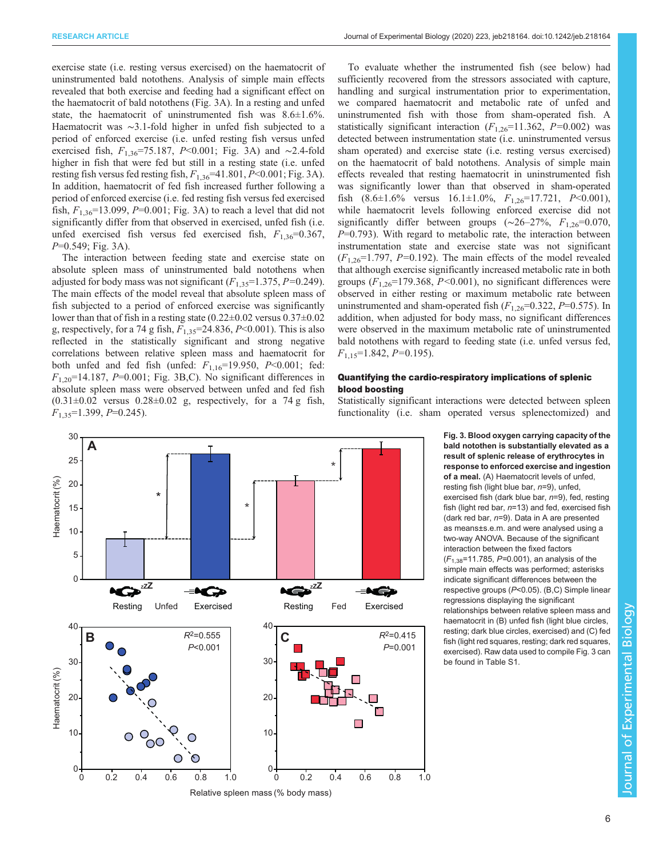exercise state (i.e. resting versus exercised) on the haematocrit of uninstrumented bald notothens. Analysis of simple main effects revealed that both exercise and feeding had a significant effect on the haematocrit of bald notothens (Fig. 3A). In a resting and unfed state, the haematocrit of uninstrumented fish was  $8.6 \pm 1.6\%$ . Haematocrit was ∼3.1-fold higher in unfed fish subjected to a period of enforced exercise (i.e. unfed resting fish versus unfed exercised fish,  $F_{1,36}$ =75.187, P<0.001; Fig. 3A) and ∼2.4-fold higher in fish that were fed but still in a resting state (i.e. unfed resting fish versus fed resting fish,  $F_{1,36}$ =41.801, P<0.001; Fig. 3A). In addition, haematocrit of fed fish increased further following a period of enforced exercise (i.e. fed resting fish versus fed exercised fish,  $F_{1,36}$ =13.099, P=0.001; Fig. 3A) to reach a level that did not significantly differ from that observed in exercised, unfed fish (i.e. unfed exercised fish versus fed exercised fish,  $F_{1,36}=0.367$ ,  $P=0.549$ ; Fig. 3A).

The interaction between feeding state and exercise state on absolute spleen mass of uninstrumented bald notothens when adjusted for body mass was not significant  $(F_{1,35}=1.375, P=0.249)$ . The main effects of the model reveal that absolute spleen mass of fish subjected to a period of enforced exercise was significantly lower than that of fish in a resting state (0.22±0.02 versus 0.37±0.02 g, respectively, for a 74 g fish,  $F_{1,35}$ =24.836, P<0.001). This is also reflected in the statistically significant and strong negative correlations between relative spleen mass and haematocrit for both unfed and fed fish (unfed:  $F_{1,16}=19.950$ ,  $P<0.001$ ; fed:  $F_{1,20}$ =14.187, P=0.001; Fig. 3B,C). No significant differences in absolute spleen mass were observed between unfed and fed fish  $(0.31\pm0.02$  versus  $0.28\pm0.02$  g, respectively, for a 74 g fish,  $F_{1,35}=1.399, P=0.245$ .

To evaluate whether the instrumented fish (see below) had sufficiently recovered from the stressors associated with capture, handling and surgical instrumentation prior to experimentation, we compared haematocrit and metabolic rate of unfed and uninstrumented fish with those from sham-operated fish. A statistically significant interaction  $(F_{1,26}=11.362, P=0.002)$  was detected between instrumentation state (i.e. uninstrumented versus sham operated) and exercise state (i.e. resting versus exercised) on the haematocrit of bald notothens. Analysis of simple main effects revealed that resting haematocrit in uninstrumented fish was significantly lower than that observed in sham-operated fish  $(8.6 \pm 1.6\%$  versus  $16.1 \pm 1.0\%,$   $F_{1,26} = 17.721,$   $P < 0.001$ ), while haematocrit levels following enforced exercise did not significantly differ between groups ( $\sim$ 26–27%,  $F_{1,26}=0.070$ ,  $P=0.793$ ). With regard to metabolic rate, the interaction between instrumentation state and exercise state was not significant  $(F_{1,26}=1.797, P=0.192)$ . The main effects of the model revealed that although exercise significantly increased metabolic rate in both groups  $(F_{1,26}=179.368, P<0.001)$ , no significant differences were observed in either resting or maximum metabolic rate between uninstrumented and sham-operated fish  $(F_{1,26}=0.322, P=0.575)$ . In addition, when adjusted for body mass, no significant differences were observed in the maximum metabolic rate of uninstrumented bald notothens with regard to feeding state (i.e. unfed versus fed,  $F_{1,15}=1.842, P=0.195$ ).

# Quantifying the cardio-respiratory implications of splenic blood boosting



Statistically significant interactions were detected between spleen functionality (i.e. sham operated versus splenectomized) and

> Fig. 3. Blood oxygen carrying capacity of the bald notothen is substantially elevated as a result of splenic release of erythrocytes in response to enforced exercise and ingestion of a meal. (A) Haematocrit levels of unfed, resting fish (light blue bar,  $n=9$ ), unfed, exercised fish (dark blue bar,  $n=9$ ), fed, resting fish (light red bar, n=13) and fed, exercised fish (dark red bar,  $n=9$ ). Data in A are presented as means±s.e.m. and were analysed using a two-way ANOVA. Because of the significant interaction between the fixed factors  $(F_{1,38}$ =11.785, P=0.001), an analysis of the simple main effects was performed; asterisks indicate significant differences between the respective groups (P<0.05). (B,C) Simple linear regressions displaying the significant relationships between relative spleen mass and haematocrit in (B) unfed fish (light blue circles, resting; dark blue circles, exercised) and (C) fed fish (light red squares, resting; dark red squares, exercised). Raw data used to compile Fig. 3 can be found in [Table S1](http://jeb.biologists.org/lookup/doi/10.1242/jeb.218164.supplemental).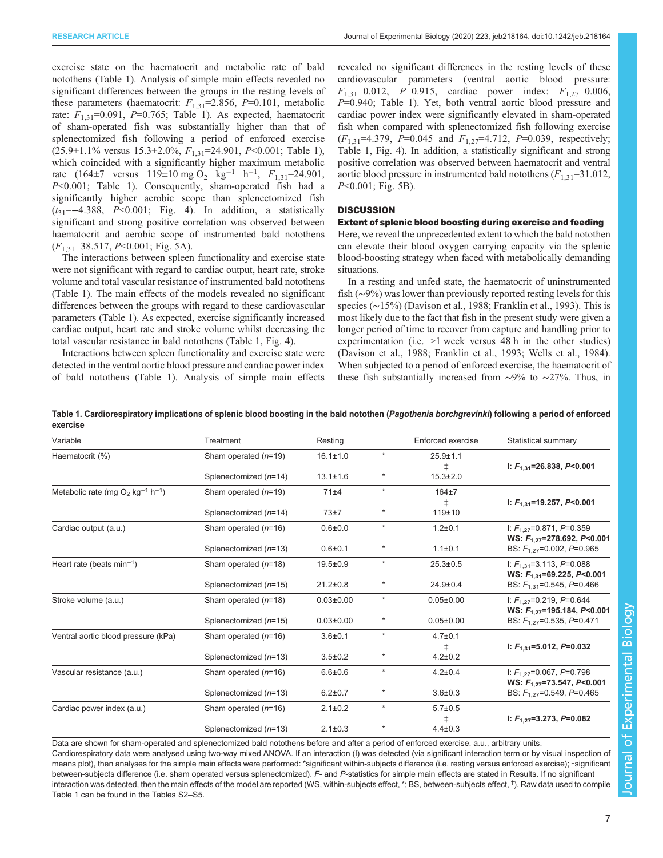exercise state on the haematocrit and metabolic rate of bald notothens (Table 1). Analysis of simple main effects revealed no significant differences between the groups in the resting levels of these parameters (haematocrit:  $F_{1,31}$ =2.856, P=0.101, metabolic rate:  $F_{1,31}$ =0.091, P=0.765; Table 1). As expected, haematocrit of sham-operated fish was substantially higher than that of splenectomized fish following a period of enforced exercise  $(25.9\pm1.1\%$  versus  $15.3\pm2.0\%$ ,  $F_{1,31}=24.901$ ,  $P<0.001$ ; Table 1), which coincided with a significantly higher maximum metabolic rate  $(164\pm7 \text{ versus } 119\pm10 \text{ mg } O_2 \text{ kg}^{-1} \text{ h}^{-1}, F_{1,31} = 24.901,$ P<0.001; Table 1). Consequently, sham-operated fish had a significantly higher aerobic scope than splenectomized fish  $(t_{31}=-4.388, P<0.001;$  [Fig. 4](#page-7-0)). In addition, a statistically significant and strong positive correlation was observed between haematocrit and aerobic scope of instrumented bald notothens  $(F<sub>1,31</sub>=38.517, P<0.001; Fig. 5A).$  $(F<sub>1,31</sub>=38.517, P<0.001; Fig. 5A).$  $(F<sub>1,31</sub>=38.517, P<0.001; Fig. 5A).$ 

The interactions between spleen functionality and exercise state were not significant with regard to cardiac output, heart rate, stroke volume and total vascular resistance of instrumented bald notothens (Table 1). The main effects of the models revealed no significant differences between the groups with regard to these cardiovascular parameters (Table 1). As expected, exercise significantly increased cardiac output, heart rate and stroke volume whilst decreasing the total vascular resistance in bald notothens (Table 1, [Fig. 4\)](#page-7-0).

Interactions between spleen functionality and exercise state were detected in the ventral aortic blood pressure and cardiac power index of bald notothens (Table 1). Analysis of simple main effects revealed no significant differences in the resting levels of these cardiovascular parameters (ventral aortic blood pressure:  $F_{1,31}$ =0.012, P=0.915, cardiac power index:  $F_{1,27}$ =0.006, P=0.940; Table 1). Yet, both ventral aortic blood pressure and cardiac power index were significantly elevated in sham-operated fish when compared with splenectomized fish following exercise  $(F_{1,31} = 4.379, P = 0.045 \text{ and } F_{1,27} = 4.712, P = 0.039, \text{ respectively};$ Table 1, [Fig. 4\)](#page-7-0). In addition, a statistically significant and strong positive correlation was observed between haematocrit and ventral aortic blood pressure in instrumented bald notothens  $(F_{1,31}=31.012)$ ,  $P<0.001$ ; [Fig. 5](#page-7-0)B).

# **DISCUSSION**

Extent of splenic blood boosting during exercise and feeding Here, we reveal the unprecedented extent to which the bald notothen can elevate their blood oxygen carrying capacity via the splenic blood-boosting strategy when faced with metabolically demanding situations.

In a resting and unfed state, the haematocrit of uninstrumented fish (∼9%) was lower than previously reported resting levels for this species (∼15%) [\(Davison et al., 1988](#page-9-0); [Franklin et al., 1993](#page-9-0)). This is most likely due to the fact that fish in the present study were given a longer period of time to recover from capture and handling prior to experimentation (i.e. >1 week versus 48 h in the other studies) [\(Davison et al., 1988](#page-9-0); [Franklin et al., 1993;](#page-9-0) [Wells et al., 1984\)](#page-10-0). When subjected to a period of enforced exercise, the haematocrit of these fish substantially increased from ∼9% to ∼27%. Thus, in

Table 1. Cardiorespiratory implications of splenic blood boosting in the bald notothen (Pagothenia borchgrevinki) following a period of enforced exercise

| Treatment               | Resting         |         | Enforced exercise | Statistical summary                                               |
|-------------------------|-----------------|---------|-------------------|-------------------------------------------------------------------|
| Sham operated $(n=19)$  | $16.1 \pm 1.0$  | $\star$ | $25.9 + 1.1$      | I: $F_{1,31}$ =26.838, P<0.001                                    |
| Splenectomized (n=14)   | $13.1 \pm 1.6$  | $\star$ | $15.3 \pm 2.0$    |                                                                   |
| Sham operated $(n=19)$  | 71±4            | $\star$ | $164\pm7$         |                                                                   |
| Splenectomized (n=14)   | 73±7            | $\ast$  | $119 + 10$        | I: $F_{1,31}$ =19.257, P<0.001                                    |
| Sham operated $(n=16)$  | $0.6 + 0.0$     | $\ast$  | $1.2 + 0.1$       | I: $F_{1,27}$ =0.871, P=0.359<br>WS: $F_{1,27}$ =278.692, P<0.001 |
| Splenectomized (n=13)   | $0.6 + 0.1$     | $\star$ | $1.1 \pm 0.1$     | BS: $F_{1,27}$ =0.002, P=0.965                                    |
| Sham operated $(n=18)$  | $19.5 \pm 0.9$  | $\star$ | $25.3 \pm 0.5$    | I: $F_{1,31}$ =3.113, P=0.088<br>WS: $F_{1,31}$ =69.225, P<0.001  |
| Splenectomized (n=15)   | $21.2 \pm 0.8$  | $\ast$  | $24.9 \pm 0.4$    | BS: $F_{1,31}$ =0.545, P=0.466                                    |
| Sham operated $(n=18)$  | $0.03 \pm 0.00$ | $\star$ | $0.05 \pm 0.00$   | I: $F_{1,27}$ =0.219, P=0.644<br>WS: $F_{1.27}$ =195.184, P<0.001 |
| Splenectomized (n=15)   | $0.03 \pm 0.00$ | $\ast$  | $0.05 \pm 0.00$   | BS: $F_{1,27}$ =0.535, P=0.471                                    |
| Sham operated $(n=16)$  | $3.6 + 0.1$     | $\star$ | $4.7 \pm 0.1$     | I: $F_{1,31}$ =5.012, P=0.032                                     |
| Splenectomized (n=13)   | $3.5 \pm 0.2$   | $\ast$  | $4.2 \pm 0.2$     |                                                                   |
| Sham operated $(n=16)$  | $6.6 \pm 0.6$   | $\star$ | $4.2 \pm 0.4$     | I: $F_{1,27}$ =0.067, P=0.798<br>WS: $F_{1,27}$ =73.547, P<0.001  |
| Splenectomized $(n=13)$ | $6.2 \pm 0.7$   | $\star$ | $3.6 + 0.3$       | BS: $F_{1.27}$ =0.549, P=0.465                                    |
| Sham operated $(n=16)$  | $2.1 \pm 0.2$   | $\star$ | $5.7 \pm 0.5$     |                                                                   |
| Splenectomized (n=13)   | $2.1 \pm 0.3$   |         | $4.4 \pm 0.3$     | I: $F_{1.27}$ =3.273, P=0.082                                     |
|                         |                 |         |                   | ŧ.                                                                |

Data are shown for sham-operated and splenectomized bald notothens before and after a period of enforced exercise. a.u., arbitrary units. Cardiorespiratory data were analysed using two-way mixed ANOVA. If an interaction (I) was detected (via significant interaction term or by visual inspection of means plot), then analyses for the simple main effects were performed: \*significant within-subjects difference (i.e. resting versus enforced exercise); ‡ significant between-subjects difference (i.e. sham operated versus splenectomized). F- and P-statistics for simple main effects are stated in Results. If no significant interaction was detected, then the main effects of the model are reported (WS, within-subjects effect, \*; BS, between-subjects effect, ‡ ). Raw data used to compile Table 1 can be found in the [Tables](http://jeb.biologists.org/lookup/doi/10.1242/jeb.218164.supplemental) S2–[S5](http://jeb.biologists.org/lookup/doi/10.1242/jeb.218164.supplemental).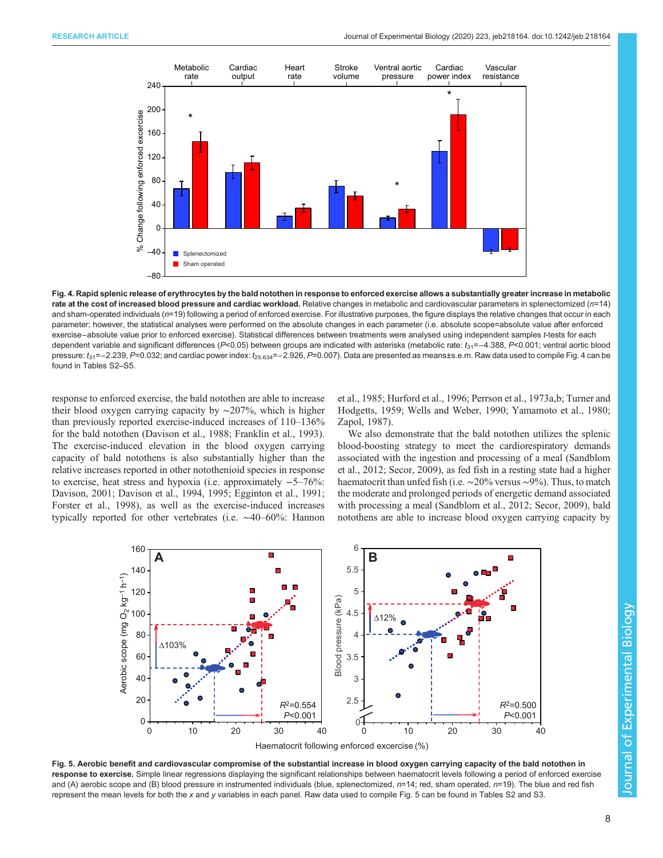<span id="page-7-0"></span>

Fig. 4. Rapid splenic release of erythrocytes by the bald notothen in response to enforced exercise allows a substantially greater increase in metabolic rate at the cost of increased blood pressure and cardiac workload. Relative changes in metabolic and cardiovascular parameters in splenectomized (n=14) and sham-operated individuals (n=19) following a period of enforced exercise. For illustrative purposes, the figure displays the relative changes that occur in each parameter; however, the statistical analyses were performed on the absolute changes in each parameter (i.e. absolute scope=absolute value after enforced exercise−absolute value prior to enforced exercise). Statistical differences between treatments were analysed using independent samples t-tests for each dependent variable and significant differences (P<0.05) between groups are indicated with asterisks (metabolic rate: t<sub>31</sub>=−4.388, P<0.001; ventral aortic blood pressure: t<sub>31</sub>=−2.239, P=0.032; and cardiac power index: t<sub>25.634</sub>=−2.926, P=0.007). Data are presented as means±s.e.m. Raw data used to compile Fig. 4 can be found in [Tables S2](http://jeb.biologists.org/lookup/doi/10.1242/jeb.218164.supplemental)–S5.

response to enforced exercise, the bald notothen are able to increase their blood oxygen carrying capacity by ∼207%, which is higher than previously reported exercise-induced increases of 110–136% for the bald notothen [\(Davison et al., 1988; Franklin et al., 1993\)](#page-9-0). The exercise-induced elevation in the blood oxygen carrying capacity of bald notothens is also substantially higher than the relative increases reported in other notothenioid species in response to exercise, heat stress and hypoxia (i.e. approximately −5–76%: [Davison, 2001; Davison et al., 1994, 1995](#page-9-0); [Egginton et al., 1991](#page-9-0); [Forster et al., 1998\)](#page-9-0), as well as the exercise-induced increases typically reported for other vertebrates (i.e. ∼40–60%: [Hannon](#page-9-0) [et al., 1985](#page-9-0); [Hurford et al., 1996](#page-9-0); [Perrson et al., 1973a,b;](#page-9-0) [Turner and](#page-10-0) [Hodgetts, 1959; Wells and Weber, 1990](#page-10-0); [Yamamoto et al., 1980](#page-10-0); [Zapol, 1987](#page-10-0)).

We also demonstrate that the bald notothen utilizes the splenic blood-boosting strategy to meet the cardiorespiratory demands associated with the ingestion and processing of a meal ([Sandblom](#page-10-0) [et al., 2012](#page-10-0); [Secor, 2009\)](#page-10-0), as fed fish in a resting state had a higher haematocrit than unfed fish (i.e. ∼20% versus ∼9%). Thus, to match the moderate and prolonged periods of energetic demand associated with processing a meal [\(Sandblom et al., 2012; Secor, 2009\)](#page-10-0), bald notothens are able to increase blood oxygen carrying capacity by



Fig. 5. Aerobic benefit and cardiovascular compromise of the substantial increase in blood oxygen carrying capacity of the bald notothen in response to exercise. Simple linear regressions displaying the significant relationships between haematocrit levels following a period of enforced exercise and (A) aerobic scope and (B) blood pressure in instrumented individuals (blue, splenectomized,  $n=14$ ; red, sham operated,  $n=19$ ). The blue and red fish represent the mean levels for both the x and y variables in each panel. Raw data used to compile Fig. 5 can be found in [Tables S2](http://jeb.biologists.org/lookup/doi/10.1242/jeb.218164.supplemental) and [S3](http://jeb.biologists.org/lookup/doi/10.1242/jeb.218164.supplemental).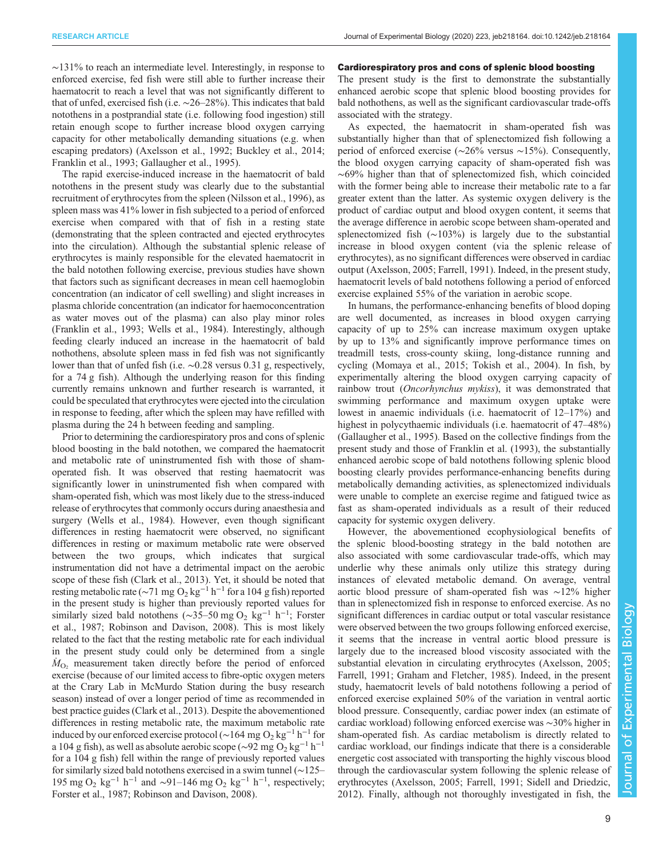∼131% to reach an intermediate level. Interestingly, in response to enforced exercise, fed fish were still able to further increase their haematocrit to reach a level that was not significantly different to that of unfed, exercised fish (i.e. ∼26–28%). This indicates that bald notothens in a postprandial state (i.e. following food ingestion) still retain enough scope to further increase blood oxygen carrying capacity for other metabolically demanding situations (e.g. when escaping predators) ([Axelsson et al., 1992](#page-9-0); [Buckley et al., 2014](#page-9-0); [Franklin et al., 1993; Gallaugher et al., 1995](#page-9-0)).

The rapid exercise-induced increase in the haematocrit of bald notothens in the present study was clearly due to the substantial recruitment of erythrocytes from the spleen [\(Nilsson et al., 1996\)](#page-9-0), as spleen mass was 41% lower in fish subjected to a period of enforced exercise when compared with that of fish in a resting state (demonstrating that the spleen contracted and ejected erythrocytes into the circulation). Although the substantial splenic release of erythrocytes is mainly responsible for the elevated haematocrit in the bald notothen following exercise, previous studies have shown that factors such as significant decreases in mean cell haemoglobin concentration (an indicator of cell swelling) and slight increases in plasma chloride concentration (an indicator for haemoconcentration as water moves out of the plasma) can also play minor roles [\(Franklin et al., 1993](#page-9-0); [Wells et al., 1984\)](#page-10-0). Interestingly, although feeding clearly induced an increase in the haematocrit of bald nothothens, absolute spleen mass in fed fish was not significantly lower than that of unfed fish (i.e. ∼0.28 versus 0.31 g, respectively, for a 74 g fish). Although the underlying reason for this finding currently remains unknown and further research is warranted, it could be speculated that erythrocytes were ejected into the circulation in response to feeding, after which the spleen may have refilled with plasma during the 24 h between feeding and sampling.

Prior to determining the cardiorespiratory pros and cons of splenic blood boosting in the bald notothen, we compared the haematocrit and metabolic rate of uninstrumented fish with those of shamoperated fish. It was observed that resting haematocrit was significantly lower in uninstrumented fish when compared with sham-operated fish, which was most likely due to the stress-induced release of erythrocytes that commonly occurs during anaesthesia and surgery ([Wells et al., 1984](#page-10-0)). However, even though significant differences in resting haematocrit were observed, no significant differences in resting or maximum metabolic rate were observed between the two groups, which indicates that surgical instrumentation did not have a detrimental impact on the aerobic scope of these fish ([Clark et al., 2013](#page-9-0)). Yet, it should be noted that resting metabolic rate ( $\sim$ 71 mg O<sub>2</sub> kg<sup>-1</sup> h<sup>-1</sup> for a 104 g fish) reported in the present study is higher than previously reported values for similarly sized bald notothens ( $\sim$ 35–50 mg O<sub>2</sub> kg<sup>-1</sup> h<sup>-1</sup>; [Forster](#page-9-0) [et al., 1987; Robinson and Davison, 2008](#page-9-0)). This is most likely related to the fact that the resting metabolic rate for each individual in the present study could only be determined from a single  $\dot{M}_{\text{O}_2}$  measurement taken directly before the period of enforced exercise (because of our limited access to fibre-optic oxygen meters at the Crary Lab in McMurdo Station during the busy research season) instead of over a longer period of time as recommended in best practice guides ([Clark et al., 2013\)](#page-9-0). Despite the abovementioned differences in resting metabolic rate, the maximum metabolic rate induced by our enforced exercise protocol (∼164 mg O<sub>2</sub> kg<sup>-1</sup> h<sup>-1</sup> for a 104 g fish), as well as absolute aerobic scope (~92 mg O<sub>2</sub> kg<sup>-1</sup> h<sup>-1</sup> for a 104 g fish) fell within the range of previously reported values for similarly sized bald notothens exercised in a swim tunnel (∼125– 195 mg O<sub>2</sub> kg<sup>-1</sup> h<sup>-1</sup> and ~91–146 mg O<sub>2</sub> kg<sup>-1</sup> h<sup>-1</sup>, respectively; [Forster et al., 1987](#page-9-0); [Robinson and Davison, 2008](#page-9-0)).

#### Cardiorespiratory pros and cons of splenic blood boosting

The present study is the first to demonstrate the substantially enhanced aerobic scope that splenic blood boosting provides for bald nothothens, as well as the significant cardiovascular trade-offs associated with the strategy.

As expected, the haematocrit in sham-operated fish was substantially higher than that of splenectomized fish following a period of enforced exercise (∼26% versus ∼15%). Consequently, the blood oxygen carrying capacity of sham-operated fish was ∼69% higher than that of splenectomized fish, which coincided with the former being able to increase their metabolic rate to a far greater extent than the latter. As systemic oxygen delivery is the product of cardiac output and blood oxygen content, it seems that the average difference in aerobic scope between sham-operated and splenectomized fish (∼103%) is largely due to the substantial increase in blood oxygen content (via the splenic release of erythrocytes), as no significant differences were observed in cardiac output ([Axelsson, 2005](#page-9-0); [Farrell, 1991\)](#page-9-0). Indeed, in the present study, haematocrit levels of bald notothens following a period of enforced exercise explained 55% of the variation in aerobic scope.

In humans, the performance-enhancing benefits of blood doping are well documented, as increases in blood oxygen carrying capacity of up to 25% can increase maximum oxygen uptake by up to 13% and significantly improve performance times on treadmill tests, cross-county skiing, long-distance running and cycling ([Momaya et al., 2015;](#page-9-0) [Tokish et al., 2004](#page-10-0)). In fish, by experimentally altering the blood oxygen carrying capacity of rainbow trout (Oncorhynchus mykiss), it was demonstrated that swimming performance and maximum oxygen uptake were lowest in anaemic individuals (i.e. haematocrit of 12–17%) and highest in polycythaemic individuals (i.e. haematocrit of 47–48%) [\(Gallaugher et al., 1995](#page-9-0)). Based on the collective findings from the present study and those of [Franklin et al. \(1993\),](#page-9-0) the substantially enhanced aerobic scope of bald notothens following splenic blood boosting clearly provides performance-enhancing benefits during metabolically demanding activities, as splenectomized individuals were unable to complete an exercise regime and fatigued twice as fast as sham-operated individuals as a result of their reduced capacity for systemic oxygen delivery.

However, the abovementioned ecophysiological benefits of the splenic blood-boosting strategy in the bald notothen are also associated with some cardiovascular trade-offs, which may underlie why these animals only utilize this strategy during instances of elevated metabolic demand. On average, ventral aortic blood pressure of sham-operated fish was ∼12% higher than in splenectomized fish in response to enforced exercise. As no significant differences in cardiac output or total vascular resistance were observed between the two groups following enforced exercise, it seems that the increase in ventral aortic blood pressure is largely due to the increased blood viscosity associated with the substantial elevation in circulating erythrocytes [\(Axelsson, 2005](#page-9-0); [Farrell, 1991](#page-9-0); [Graham and Fletcher, 1985](#page-9-0)). Indeed, in the present study, haematocrit levels of bald notothens following a period of enforced exercise explained 50% of the variation in ventral aortic blood pressure. Consequently, cardiac power index (an estimate of cardiac workload) following enforced exercise was ∼30% higher in sham-operated fish. As cardiac metabolism is directly related to cardiac workload, our findings indicate that there is a considerable energetic cost associated with transporting the highly viscous blood through the cardiovascular system following the splenic release of erythrocytes ([Axelsson, 2005; Farrell, 1991;](#page-9-0) [Sidell and Driedzic,](#page-10-0) [2012\)](#page-10-0). Finally, although not thoroughly investigated in fish, the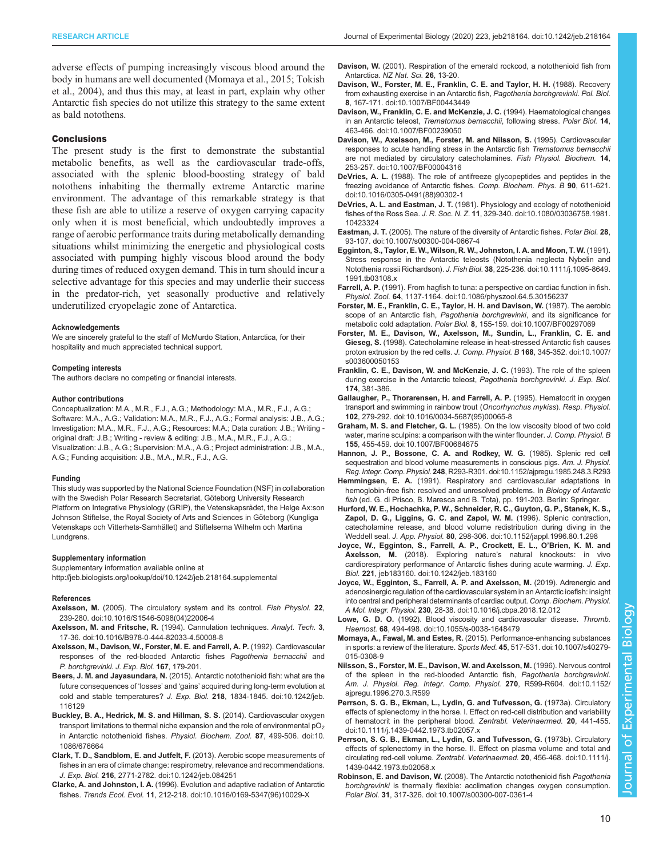<span id="page-9-0"></span>adverse effects of pumping increasingly viscous blood around the body in humans are well documented (Momaya et al., 2015; [Tokish](#page-10-0) [et al., 2004](#page-10-0)), and thus this may, at least in part, explain why other Antarctic fish species do not utilize this strategy to the same extent as bald notothens.

#### **Conclusions**

The present study is the first to demonstrate the substantial metabolic benefits, as well as the cardiovascular trade-offs, associated with the splenic blood-boosting strategy of bald notothens inhabiting the thermally extreme Antarctic marine environment. The advantage of this remarkable strategy is that these fish are able to utilize a reserve of oxygen carrying capacity only when it is most beneficial, which undoubtedly improves a range of aerobic performance traits during metabolically demanding situations whilst minimizing the energetic and physiological costs associated with pumping highly viscous blood around the body during times of reduced oxygen demand. This in turn should incur a selective advantage for this species and may underlie their success in the predator-rich, yet seasonally productive and relatively underutilized cryopelagic zone of Antarctica.

#### Acknowledgements

We are sincerely grateful to the staff of McMurdo Station, Antarctica, for their hospitality and much appreciated technical support.

#### Competing interests

The authors declare no competing or financial interests.

#### Author contributions

Conceptualization: M.A., M.R., F.J., A.G.; Methodology: M.A., M.R., F.J., A.G.; Software: M.A., A.G.; Validation: M.A., M.R., F.J., A.G.; Formal analysis: J.B., A.G.; Investigation: M.A., M.R., F.J., A.G.; Resources: M.A.; Data curation: J.B.; Writing original draft: J.B.; Writing - review & editing: J.B., M.A., M.R., F.J., A.G.; Visualization: J.B., A.G.; Supervision: M.A., A.G.; Project administration: J.B., M.A., A.G.; Funding acquisition: J.B., M.A., M.R., F.J., A.G.

#### Funding

This study was supported by the National Science Foundation (NSF) in collaboration with the Swedish Polar Research Secretariat, Göteborg University Research Platform on Integrative Physiology (GRIP), the Vetenskapsrådet, the Helge Ax:son Johnson Stiftelse, the Royal Society of Arts and Sciences in Göteborg (Kungliga Vetenskaps och Vitterhets-Samhället) and Stiftelserna Wilhelm och Martina Lundgrens.

#### Supplementary information

Supplementary information available online at <http://jeb.biologists.org/lookup/doi/10.1242/jeb.218164.supplemental>

#### References

- Axelsson, M. [\(2005\). The circulatory system and its control.](https://doi.org/10.1016/S1546-5098(04)22006-4) Fish Physiol. 22, [239-280. doi:10.1016/S1546-5098\(04\)22006-4](https://doi.org/10.1016/S1546-5098(04)22006-4)
- Axelsson, M. and Fritsche, R. [\(1994\). Cannulation techniques.](https://doi.org/10.1016/B978-0-444-82033-4.50008-8) Analyt. Tech. 3, [17-36. doi:10.1016/B978-0-444-82033-4.50008-8](https://doi.org/10.1016/B978-0-444-82033-4.50008-8)
- Axelsson, M., Davison, W., Forster, M. E. and Farrell, A. P. (1992). Cardiovascular responses of the red-blooded Antarctic fishes Pagothenia bernacchii and P. borchgrevinki. J. Exp. Biol. 167, 179-201.
- Beers, J. M. and Jayasundara, N. [\(2015\). Antarctic notothenioid fish: what are the](https://doi.org/10.1242/jeb.116129) future consequences of 'losses' and 'gains' [acquired during long-term evolution at](https://doi.org/10.1242/jeb.116129) [cold and stable temperatures?](https://doi.org/10.1242/jeb.116129) J. Exp. Biol. 218, 1834-1845. doi:10.1242/jeb. [116129](https://doi.org/10.1242/jeb.116129)
- [Buckley, B. A., Hedrick, M. S. and Hillman, S. S.](https://doi.org/10.1086/676664) (2014). Cardiovascular oxygen transport limitations to thermal niche expansion and the role of environmental  $pO<sub>2</sub>$ [in Antarctic notothenioid fishes.](https://doi.org/10.1086/676664) Physiol. Biochem. Zool. 87, 499-506. doi:10. [1086/676664](https://doi.org/10.1086/676664)
- [Clark, T. D., Sandblom, E. and Jutfelt, F.](https://doi.org/10.1242/jeb.084251) (2013). Aerobic scope measurements of [fishes in an era of climate change: respirometry, relevance and recommendations.](https://doi.org/10.1242/jeb.084251) J. Exp. Biol. 216[, 2771-2782. doi:10.1242/jeb.084251](https://doi.org/10.1242/jeb.084251)
- Clarke, A. and Johnston, I. A. [\(1996\). Evolution and adaptive radiation of Antarctic](https://doi.org/10.1016/0169-5347(96)10029-X) fishes. Trends Ecol. Evol. 11[, 212-218. doi:10.1016/0169-5347\(96\)10029-X](https://doi.org/10.1016/0169-5347(96)10029-X)
- Davison, W. (2001). Respiration of the emerald rockcod, a notothenioid fish from Antarctica. NZ Nat. Sci. 26, 13-20.
- [Davison, W., Forster, M. E., Franklin, C. E. and Taylor, H. H.](https://doi.org/10.1007/BF00443449) (1988). Recovery [from exhausting exercise in an Antarctic fish,](https://doi.org/10.1007/BF00443449) Pagothenia borchgrevinki. Pol. Biol. 8[, 167-171. doi:10.1007/BF00443449](https://doi.org/10.1007/BF00443449)
- [Davison, W., Franklin, C. E. and McKenzie, J. C.](https://doi.org/10.1007/BF00239050) (1994). Haematological changes in an Antarctic teleost, [Trematomus bernacchii](https://doi.org/10.1007/BF00239050), following stress. Polar Biol. 14, [463-466. doi:10.1007/BF00239050](https://doi.org/10.1007/BF00239050)
- [Davison, W., Axelsson, M., Forster, M. and Nilsson, S.](https://doi.org/10.1007/BF00004316) (1995). Cardiovascular [responses to acute handling stress in the Antarctic fish](https://doi.org/10.1007/BF00004316) Trematomus bernacchii [are not mediated by circulatory catecholamines.](https://doi.org/10.1007/BF00004316) Fish Physiol. Biochem. 14, [253-257. doi:10.1007/BF00004316](https://doi.org/10.1007/BF00004316)
- DeVries, A. L. [\(1988\). The role of antifreeze glycopeptides and peptides in the](https://doi.org/10.1016/0305-0491(88)90302-1) [freezing avoidance of Antarctic fishes.](https://doi.org/10.1016/0305-0491(88)90302-1) Comp. Biochem. Phys. B 90, 611-621. [doi:10.1016/0305-0491\(88\)90302-1](https://doi.org/10.1016/0305-0491(88)90302-1)
- DeVries, A. L. and Eastman, J. T. [\(1981\). Physiology and ecology of notothenioid](https://doi.org/10.1080/03036758.1981.10423324) fishes of the Ross Sea. J. R. Soc. N. Z. 11[, 329-340. doi:10.1080/03036758.1981.](https://doi.org/10.1080/03036758.1981.10423324) [10423324](https://doi.org/10.1080/03036758.1981.10423324)
- Eastman, J. T. [\(2005\). The nature of the diversity of Antarctic fishes.](https://doi.org/10.1007/s00300-004-0667-4) Polar Biol. 28, [93-107. doi:10.1007/s00300-004-0667-4](https://doi.org/10.1007/s00300-004-0667-4)
- [Egginton, S., Taylor, E. W., Wilson, R. W., Johnston, I. A. and Moon, T. W.](https://doi.org/10.1111/j.1095-8649.1991.tb03108.x) (1991). [Stress response in the Antarctic teleosts \(Notothenia neglecta Nybelin and](https://doi.org/10.1111/j.1095-8649.1991.tb03108.x) Notothenia rossii Richardson). J. Fish Biol. 38[, 225-236. doi:10.1111/j.1095-8649.](https://doi.org/10.1111/j.1095-8649.1991.tb03108.x) [1991.tb03108.x](https://doi.org/10.1111/j.1095-8649.1991.tb03108.x)
- Farrell, A. P. [\(1991\). From hagfish to tuna: a perspective on cardiac function in fish.](https://doi.org/10.1086/physzool.64.5.30156237) Physiol. Zool. 64[, 1137-1164. doi:10.1086/physzool.64.5.30156237](https://doi.org/10.1086/physzool.64.5.30156237)
- [Forster, M. E., Franklin, C. E., Taylor, H. H. and Davison, W.](https://doi.org/10.1007/BF00297069) (1987). The aerobic [scope of an Antarctic fish,](https://doi.org/10.1007/BF00297069) Pagothenia borchgrevinki, and its significance for metabolic cold adaptation. Polar Biol. 8[, 155-159. doi:10.1007/BF00297069](https://doi.org/10.1007/BF00297069)
- [Forster, M. E., Davison, W., Axelsson, M., Sundin, L., Franklin, C. E. and](https://doi.org/10.1007/s003600050153) Gieseg, S. [\(1998\). Catecholamine release in heat-stressed Antarctic fish causes](https://doi.org/10.1007/s003600050153) [proton extrusion by the red cells.](https://doi.org/10.1007/s003600050153) J. Comp. Physiol. B 168, 345-352. doi:10.1007/ [s003600050153](https://doi.org/10.1007/s003600050153)
- Franklin, C. E., Davison, W. and McKenzie, J. C. (1993). The role of the spleen during exercise in the Antarctic teleost, Pagothenia borchgrevinki. J. Exp. Biol. 174, 381-386.
- [Gallaugher, P., Thorarensen, H. and Farrell, A. P.](https://doi.org/10.1016/0034-5687(95)00065-8) (1995). Hematocrit in oxygen [transport and swimming in rainbow trout \(](https://doi.org/10.1016/0034-5687(95)00065-8)Oncorhynchus mykiss). Resp. Physiol. 102[, 279-292. doi:10.1016/0034-5687\(95\)00065-8](https://doi.org/10.1016/0034-5687(95)00065-8)
- Graham, M. S. and Fletcher, G. L. [\(1985\). On the low viscosity blood of two cold](https://doi.org/10.1007/BF00684675) [water, marine sculpins: a comparison with the winter flounder.](https://doi.org/10.1007/BF00684675) J. Comp. Physiol. B 155[, 455-459. doi:10.1007/BF00684675](https://doi.org/10.1007/BF00684675)
- [Hannon, J. P., Bossone, C. A. and Rodkey, W. G.](https://doi.org/10.1152/ajpregu.1985.248.3.R293) (1985). Splenic red cell [sequestration and blood volume measurements in conscious pigs.](https://doi.org/10.1152/ajpregu.1985.248.3.R293) Am. J. Physiol. Reg. Integr. Comp. Physiol. 248[, R293-R301. doi:10.1152/ajpregu.1985.248.3.R293](https://doi.org/10.1152/ajpregu.1985.248.3.R293)
- Hemmingsen, E. A. (1991). Respiratory and cardiovascular adaptations in hemoglobin-free fish: resolved and unresolved problems. In Biology of Antarctic fish (ed. G. di Prisco, B. Maresca and B. Tota), pp. 191-203. Berlin: Springer.
- [Hurford, W. E., Hochachka, P. W., Schneider, R. C., Guyton, G. P., Stanek, K. S.,](https://doi.org/10.1152/jappl.1996.80.1.298) [Zapol, D. G., Liggins, G. C. and Zapol, W. M.](https://doi.org/10.1152/jappl.1996.80.1.298) (1996). Splenic contraction, [catecholamine release, and blood volume redistribution during diving in the](https://doi.org/10.1152/jappl.1996.80.1.298) Weddell seal. J. App. Physiol. 80[, 298-306. doi:10.1152/jappl.1996.80.1.298](https://doi.org/10.1152/jappl.1996.80.1.298)
- [Joyce, W., Egginton, S., Farrell, A. P., Crockett, E. L., O](https://doi.org/10.1242/jeb.183160)'Brien, K. M. and Axelsson, M. (2018). Exploring nature'[s natural knockouts: in vivo](https://doi.org/10.1242/jeb.183160) [cardiorespiratory performance of Antarctic fishes during acute warming.](https://doi.org/10.1242/jeb.183160) J. Exp. Biol. 221[, jeb183160. doi:10.1242/jeb.183160](https://doi.org/10.1242/jeb.183160)
- [Joyce, W., Egginton, S., Farrell, A. P. and Axelsson, M.](https://doi.org/10.1016/j.cbpa.2018.12.012) (2019). Adrenergic and [adenosinergic regulation of the cardiovascular system in an Antarctic icefish: insight](https://doi.org/10.1016/j.cbpa.2018.12.012) [into central and peripheral determinants of cardiac output.](https://doi.org/10.1016/j.cbpa.2018.12.012) Comp. Biochem. Physiol. A Mol. Integr. Physiol. 230[, 28-38. doi:10.1016/j.cbpa.2018.12.012](https://doi.org/10.1016/j.cbpa.2018.12.012)
- Lowe, G. D. O. [\(1992\). Blood viscosity and cardiovascular disease.](https://doi.org/10.1055/s-0038-1648479) Thromb. Haemost. 68[, 494-498. doi:10.1055/s-0038-1648479](https://doi.org/10.1055/s-0038-1648479)
- Momaya, A., Fawal, M. and Estes, R. [\(2015\). Performance-enhancing substances](https://doi.org/10.1007/s40279-015-0308-9) [in sports: a review of the literature.](https://doi.org/10.1007/s40279-015-0308-9) Sports Med. 45, 517-531. doi:10.1007/s40279- [015-0308-9](https://doi.org/10.1007/s40279-015-0308-9)
- [Nilsson, S., Forster, M. E., Davison, W. and Axelsson, M.](https://doi.org/10.1152/ajpregu.1996.270.3.R599) (1996). Nervous control [of the spleen in the red-blooded Antarctic fish,](https://doi.org/10.1152/ajpregu.1996.270.3.R599) Pagothenia borchgrevinki. [Am. J. Physiol. Reg. Integr. Comp. Physiol.](https://doi.org/10.1152/ajpregu.1996.270.3.R599) 270, R599-R604. doi:10.1152/ [ajpregu.1996.270.3.R599](https://doi.org/10.1152/ajpregu.1996.270.3.R599)
- [Perrson, S. G. B., Ekman, L., Lydin, G. and Tufvesson, G.](https://doi.org/10.1111/j.1439-0442.1973.tb02057.x) (1973a). Circulatory [effects of splenectomy in the horse. I. Effect on red-cell distribution and variability](https://doi.org/10.1111/j.1439-0442.1973.tb02057.x) [of hematocrit in the peripheral blood.](https://doi.org/10.1111/j.1439-0442.1973.tb02057.x) Zentrabl. Veterinaermed. 20, 441-455. [doi:10.1111/j.1439-0442.1973.tb02057.x](https://doi.org/10.1111/j.1439-0442.1973.tb02057.x)
- [Perrson, S. G. B., Ekman, L., Lydin, G. and Tufvesson, G.](https://doi.org/10.1111/j.1439-0442.1973.tb02058.x) (1973b). Circulatory [effects of splenectomy in the horse. II. Effect on plasma volume and total and](https://doi.org/10.1111/j.1439-0442.1973.tb02058.x) [circulating red-cell volume.](https://doi.org/10.1111/j.1439-0442.1973.tb02058.x) Zentrabl. Veterinaermed. 20, 456-468. doi:10.1111/j. [1439-0442.1973.tb02058.x](https://doi.org/10.1111/j.1439-0442.1973.tb02058.x)
- Robinson, E. and Davison, W. [\(2008\). The Antarctic notothenioid fish](https://doi.org/10.1007/s00300-007-0361-4) Pagothenia borchgrevinki [is thermally flexible: acclimation changes oxygen consumption.](https://doi.org/10.1007/s00300-007-0361-4) Polar Biol. 31[, 317-326. doi:10.1007/s00300-007-0361-4](https://doi.org/10.1007/s00300-007-0361-4)